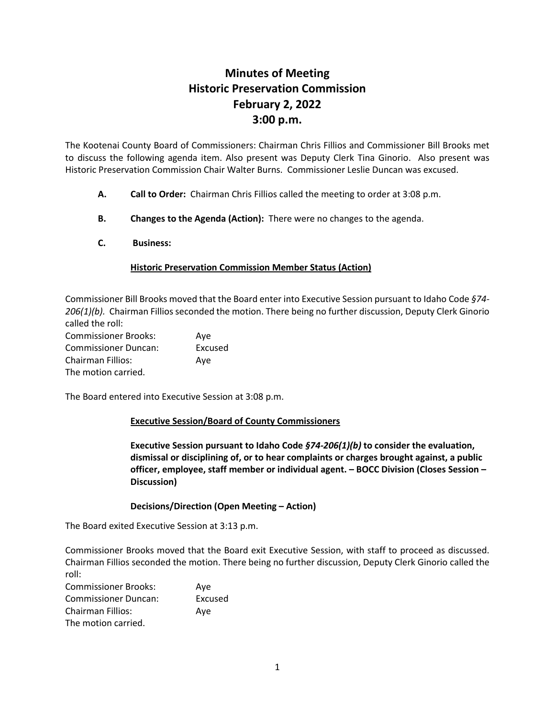## **Minutes of Meeting Historic Preservation Commission February 2, 2022 3:00 p.m.**

The Kootenai County Board of Commissioners: Chairman Chris Fillios and Commissioner Bill Brooks met to discuss the following agenda item. Also present was Deputy Clerk Tina Ginorio. Also present was Historic Preservation Commission Chair Walter Burns. Commissioner Leslie Duncan was excused.

- **A. Call to Order:** Chairman Chris Fillios called the meeting to order at 3:08 p.m.
- **B. Changes to the Agenda (Action):** There were no changes to the agenda.
- **C. Business:**

## **Historic Preservation Commission Member Status (Action)**

Commissioner Bill Brooks moved that the Board enter into Executive Session pursuant to Idaho Code *§74- 206(1)(b).* Chairman Fillios seconded the motion. There being no further discussion, Deputy Clerk Ginorio called the roll:

| <b>Commissioner Brooks:</b> | Ave     |
|-----------------------------|---------|
| <b>Commissioner Duncan:</b> | Excused |
| <b>Chairman Fillios:</b>    | Ave     |
| The motion carried.         |         |

The Board entered into Executive Session at 3:08 p.m.

## **Executive Session/Board of County Commissioners**

**Executive Session pursuant to Idaho Code** *§74-206(1)(b)* **to consider the evaluation, dismissal or disciplining of, or to hear complaints or charges brought against, a public officer, employee, staff member or individual agent. – BOCC Division (Closes Session – Discussion)**

## **Decisions/Direction (Open Meeting – Action)**

The Board exited Executive Session at 3:13 p.m.

Commissioner Brooks moved that the Board exit Executive Session, with staff to proceed as discussed. Chairman Fillios seconded the motion. There being no further discussion, Deputy Clerk Ginorio called the roll:

| <b>Commissioner Brooks:</b> | Ave     |
|-----------------------------|---------|
| <b>Commissioner Duncan:</b> | Excused |
| <b>Chairman Fillios:</b>    | Ave     |
| The motion carried.         |         |